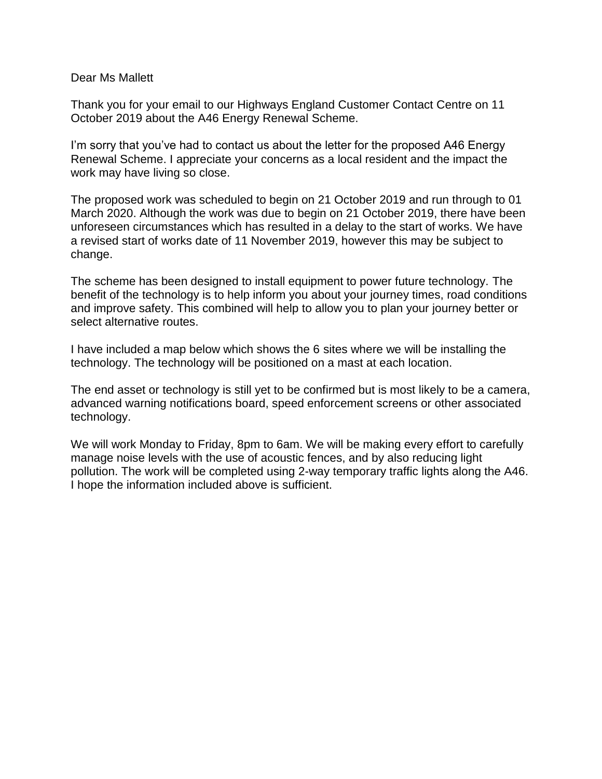## Dear Ms Mallett

Thank you for your email to our Highways England Customer Contact Centre on 11 October 2019 about the A46 Energy Renewal Scheme.

I'm sorry that you've had to contact us about the letter for the proposed A46 Energy Renewal Scheme. I appreciate your concerns as a local resident and the impact the work may have living so close.

The proposed work was scheduled to begin on 21 October 2019 and run through to 01 March 2020. Although the work was due to begin on 21 October 2019, there have been unforeseen circumstances which has resulted in a delay to the start of works. We have a revised start of works date of 11 November 2019, however this may be subject to change.

The scheme has been designed to install equipment to power future technology. The benefit of the technology is to help inform you about your journey times, road conditions and improve safety. This combined will help to allow you to plan your journey better or select alternative routes.

I have included a map below which shows the 6 sites where we will be installing the technology. The technology will be positioned on a mast at each location.

The end asset or technology is still yet to be confirmed but is most likely to be a camera, advanced warning notifications board, speed enforcement screens or other associated technology.

We will work Monday to Friday, 8pm to 6am. We will be making every effort to carefully manage noise levels with the use of acoustic fences, and by also reducing light pollution. The work will be completed using 2-way temporary traffic lights along the A46. I hope the information included above is sufficient.